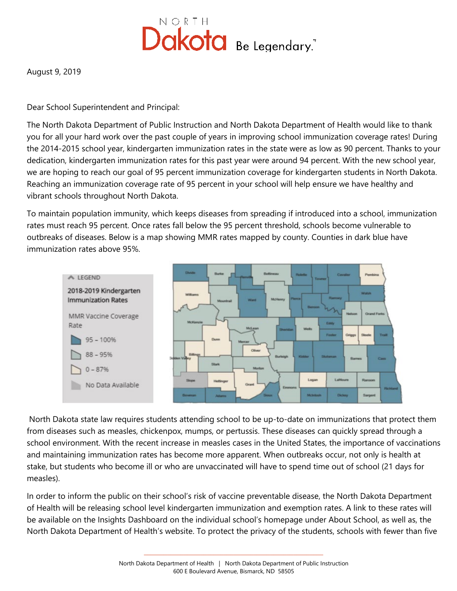

August 9, 2019

Dear School Superintendent and Principal:

The North Dakota Department of Public Instruction and North Dakota Department of Health would like to thank you for all your hard work over the past couple of years in improving school immunization coverage rates! During the 2014-2015 school year, kindergarten immunization rates in the state were as low as 90 percent. Thanks to your dedication, kindergarten immunization rates for this past year were around 94 percent. With the new school year, we are hoping to reach our goal of 95 percent immunization coverage for kindergarten students in North Dakota. Reaching an immunization coverage rate of 95 percent in your school will help ensure we have healthy and vibrant schools throughout North Dakota.

To maintain population immunity, which keeps diseases from spreading if introduced into a school, immunization rates must reach 95 percent. Once rates fall below the 95 percent threshold, schools become vulnerable to outbreaks of diseases. Below is a map showing MMR rates mapped by county. Counties in dark blue have immunization rates above 95%.



North Dakota state law requires students attending school to be up-to-date on immunizations that protect them from diseases such as measles, chickenpox, mumps, or pertussis. These diseases can quickly spread through a school environment. With the recent increase in measles cases in the United States, the importance of vaccinations and maintaining immunization rates has become more apparent. When outbreaks occur, not only is health at stake, but students who become ill or who are unvaccinated will have to spend time out of school (21 days for measles).

In order to inform the public on their school's risk of vaccine preventable disease, the North Dakota Department of Health will be releasing school level kindergarten immunization and exemption rates. A link to these rates will be available on the Insights Dashboard on the individual school's homepage under About School, as well as, the North Dakota Department of Health's website. To protect the privacy of the students, schools with fewer than five